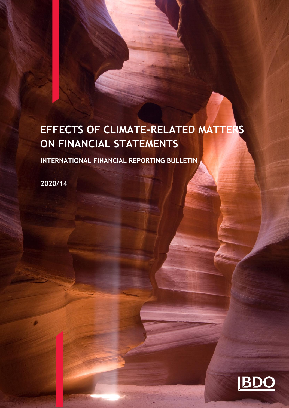# **EFFECTS OF CLIMATE-RELATED MATTERS ON FINANCIAL STATEMENTS**

**INTERNATIONAL FINANCIAL REPORTING BULLETIN** 

**2020/14**

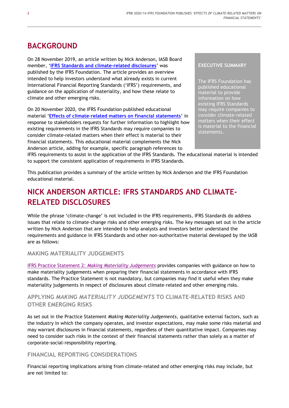# **BACKGROUND**

On 28 November 2019, an article written by Nick Anderson, IASB Board member, '**[IFRS Standards and climate-related disclosures](https://www.ifrs.org/news-and-events/2019/11/nick-anderson-ifrs-standards-and-climate-related-disclosures/)**' was published by the IFRS Foundation. The article provides an overview intended to help investors understand what already exists in current International Financial Reporting Standards ('IFRS') requirements, and guidance on the application of materiality, and how these relate to climate and other emerging risks.

On 20 November 2020, the IFRS Foundation published educational material '**[Effects of climate-related matters on financial statements](https://www.ifrs.org/news-and-events/2020/11/educational-material-on-the-effects-of-climate-related-matters/)**' in response to stakeholders requests for further information to highlight how existing requirements in the IFRS Standards may require companies to consider climate-related matters when their effect is material to their financial statements. This educational material complements the Nick Anderson article, adding for example, specific paragraph references to

#### **EXECUTIVE SUMMARY**

The IFRS Foundation has published educational material to provide information on how existing IFRS Standards may require companies to consider climate-related matters when their effect is material to the financial statements.

IFRS requirements to assist in the application of the IFRS Standards. The educational material is intended to support the consistent application of requirements in IFRS Standards.

This publication provides a summary of the article written by Nick Anderson and the IFRS Foundation educational material.

# **NICK ANDERSON ARTICLE: IFRS STANDARDS AND CLIMATE-RELATED DISCLOSURES**

While the phrase 'climate-change' is not included in the IFRS requirements, IFRS Standards do address issues that relate to climate-change risks and other emerging risks. The key messages set out in the article written by Nick Anderson that are intended to help analysts and investors better understand the requirements and guidance in IFRS Standards and other non-authoritative material developed by the IASB are as follows:

# **MAKING MATERIALITY JUDGEMENTS**

IFRS Practice Statement 2: *[Making Materiality Judgements](https://www.ifrs.org/issued-standards/materiality-practice-statement/)* provides companies with guidance on how to make materiality judgements when preparing their financial statements in accordance with IFRS standards. The Practice Statement is not mandatory, but companies may find it useful when they make materiality judgements in respect of disclosures about climate-related and other emerging risks.

# **APPLYING** *MAKING MATERIALITY JUDGEMENTS* **TO CLIMATE-RELATED RISKS AND OTHER EMERGING RISKS**

As set out in the Practice Statement *Making Materiality Judgements,* qualitative external factors, such as the industry in which the company operates, and investor expectations, may make some risks material and may warrant disclosures in financial statements, regardless of their quantitative impact. Companies may need to consider such risks in the context of their financial statements rather than solely as a matter of corporate-social-responsibility reporting.

# **FINANCIAL REPORTING CONSIDERATIONS**

Financial reporting implications arising from climate-related and other emerging risks may include, but are not limited to: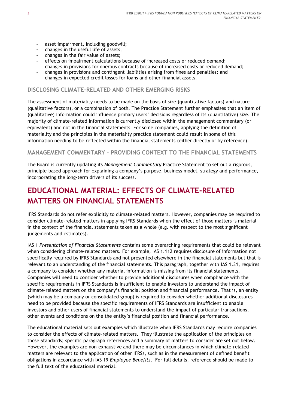- asset impairment, including goodwill;
- changes in the useful life of assets;
- changes in the fair value of assets;
- effects on impairment calculations because of increased costs or reduced demand;
- changes in provisions for onerous contracts because of increased costs or reduced demand;
- changes in provisions and contingent liabilities arising from fines and penalties; and
- changes in expected credit losses for loans and other financial assets.

#### **DISCLOSING CLIMATE-RELATED AND OTHER EMERGING RISKS**

The assessment of materiality needs to be made on the basis of size (quantitative factors) and nature (qualitative factors), or a combination of both. The Practice Statement further emphasises that an item of (qualitative) information could influence primary users' decisions regardless of its (quantitative) size. The majority of climate-related information is currently disclosed within the management commentary (or equivalent) and not in the financial statements. For some companies, applying the definition of materiality and the principles in the materiality practice statement could result in some of this information needing to be reflected within the financial statements (either directly or by reference).

#### **MANAGEMENT COMMENTARY – PROVIDING CONTEXT TO THE FINANCIAL STATEMENTS**

The Board is currently updating its *Management Commentary* Practice Statement to set out a rigorous, principle-based approach for explaining a company's purpose, business model, strategy and performance, incorporating the long-term drivers of its success.

# **EDUCATIONAL MATERIAL: EFFECTS OF CLIMATE-RELATED MATTERS ON FINANCIAL STATEMENTS**

IFRS Standards do not refer explicitly to climate-related matters. However, companies may be required to consider climate-related matters in applying IFRS Standards when the effect of those matters is material in the context of the financial statements taken as a whole (e.g. with respect to the most significant judgements and estimates).

IAS 1 *Presentation of Financial Statements* contains some overarching requirements that could be relevant when considering climate-related matters. For example, IAS 1.112 requires disclosure of information not specifically required by IFRS Standards and not presented elsewhere in the financial statements but that is relevant to an understanding of the financial statements. This paragraph, together with IAS 1.31, requires a company to consider whether any material information is missing from its financial statements. Companies will need to consider whether to provide additional disclosures when compliance with the specific requirements in IFRS Standards is insufficient to enable investors to understand the impact of climate-related matters on the company's financial position and financial performance. That is, an entity (which may be a company or consolidated group) is required to consider whether additional disclosures need to be provided because the specific requirements of IFRS Standards are insufficient to enable investors and other users of financial statements to understand the impact of particular transactions, other events and conditions on the the entity's financial position and financial performance.

The educational material sets out examples which illustrate when IFRS Standards may require companies to consider the effects of climate-related matters. They illustrate the application of the principles on those Standards; specific paragraph references and a summary of matters to consider are set out below. However, the examples are non-exhaustive and there may be circumstances in which climate-related matters are relevant to the application of other IFRSs, such as in the measurement of defined benefit obligations in accordance with IAS 19 *Employee Benefits*. For full details, reference should be made to the full text of the educational material.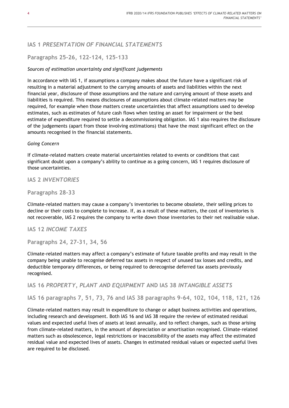# **IAS 1** *PRESENTATION OF FINANCIAL STATEMENTS*

# **Paragraphs 25-26, 122-124, 125-133**

#### *Sources of estimation uncertainty and significant judgements*

In accordance with IAS 1, if assumptions a company makes about the future have a significant risk of resulting in a material adjustment to the carrying amounts of assets and liabilities within the next financial year, disclosure of those assumptions and the nature and carrying amount of those assets and liabilities is required. This means disclosures of assumptions about climate-related matters may be required, for example when those matters create uncertainties that affect assumptions used to develop estimates, such as estimates of future cash flows when testing an asset for impairment or the best estimate of expenditure required to settle a decommissioning obligation. IAS 1 also requires the disclosure of the judgements (apart from those involving estimations) that have the most significant effect on the amounts recognised in the financial statements.

#### *Going Concern*

If climate-related matters create material uncertainties related to events or conditions that cast significant doubt upon a company's ability to continue as a going concern, IAS 1 requires disclosure of those uncertainties.

### **IAS 2** *INVENTORIES*

#### **Paragraphs 28-33**

Climate-related matters may cause a company's inventories to become obsolete, their selling prices to decline or their costs to complete to increase. If, as a result of these matters, the cost of inventories is not recoverable, IAS 2 requires the company to write down those inventories to their net realisable value.

#### **IAS 12** *INCOME TAXES*

**Paragraphs 24, 27-31, 34, 56**

Climate-related matters may affect a company's estimate of future taxable profits and may result in the company being unable to recognise deferred tax assets in respect of unused tax losses and credits, and deductible temporary differences, or being required to derecognise deferred tax assets previously recognised.

**IAS 16** *PROPERTY, PLANT AND EQUIPMENT* **AND IAS 38** *INTANGIBLE ASSETS*

**IAS 16 paragraphs 7, 51, 73, 76 and IAS 38 paragraphs 9-64, 102, 104, 118, 121, 126**

Climate-related matters may result in expenditure to change or adapt business activities and operations, including research and development. Both IAS 16 and IAS 38 require the review of estimated residual values and expected useful lives of assets at least annually, and to reflect changes, such as those arising from climate-related matters, in the amount of depreciation or amortisation recognised. Climate-related matters such as obsolescence, legal restrictions or inaccessibility of the assets may affect the estimated residual value and expected lives of assets. Changes in estimated residual values or expected useful lives are required to be disclosed.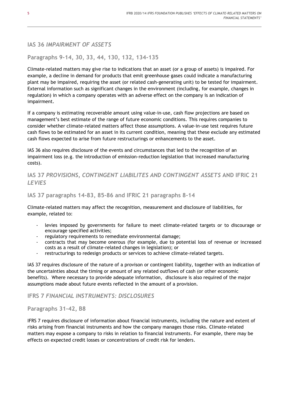### **IAS 36** *IMPAIRMENT OF ASSETS*

### **Paragraphs 9-14, 30, 33, 44, 130, 132, 134-135**

Climate-related matters may give rise to indications that an asset (or a group of assets) is impaired. For example, a decline in demand for products that emit greenhouse gases could indicate a manufacturing plant may be impaired, requiring the asset (or related cash-generating unit) to be tested for impairment. External information such as significant changes in the environment (including, for example, changes in regulation) in which a company operates with an adverse effect on the company is an indication of impairment.

If a company is estimating recoverable amount using value-in-use, cash flow projections are based on management's best estimate of the range of future economic conditions. This requires companies to consider whether climate-related matters affect those assumptions. A value-in-use test requires future cash flows to be estimated for an asset in its current condition, meaning that these exclude any estimated cash flows expected to arise from future restructurings or enhancements to the asset.

IAS 36 also requires disclosure of the events and circumstances that led to the recognition of an impairment loss (e.g. the introduction of emission-reduction legislation that increased manufacturing costs).

# **IAS 37** *PROVISIONS, CONTINGENT LIABILITES AND CONTINGENT ASSETS* **AND IFRIC 21**  *LEVIES*

#### **IAS 37 paragraphs 14-83, 85-86 and IFRIC 21 paragraphs 8-14**

Climate-related matters may affect the recognition, measurement and disclosure of liabilities, for example, related to:

- levies imposed by governments for failure to meet climate-related targets or to discourage or encourage specified activities;
- regulatory requirements to remediate environmental damage;
- contracts that may become onerous (for example, due to potential loss of revenue or increased costs as a result of climate-related changes in legislation); or
- restructurings to redesign products or services to achieve climate-related targets.

IAS 37 requires disclosure of the nature of a provison or contingent liability, together with an indication of the uncertainties about the timing or amount of any related outflows of cash (or other economic benefits). Where necessary to provide adequate information, disclosure is also required of the major assumptions made about future events reflected in the amount of a provision.

#### **IFRS 7** *FINANCIAL INSTRUMENTS: DISCLOSURES*

#### **Paragraphs 31-42, B8**

IFRS 7 requires disclosure of information about financial instruments, including the nature and extent of risks arising from financial instruments and how the company manages those risks. Climate-related matters may expose a company to risks in relation to financial instruments. For example, there may be effects on expected credit losses or concentrations of credit risk for lenders.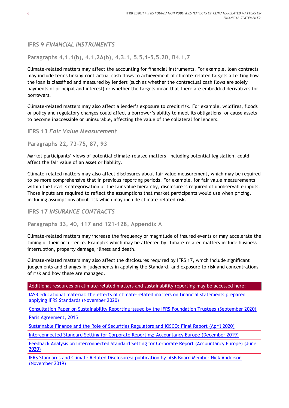# **IFRS 9** *FINANCIAL INSTRUMENTS*

**Paragraphs 4.1.1(b), 4.1.2A(b), 4.3.1, 5.5.1-5.5.20, B4.1.7**

Climate-related matters may affect the accounting for financial instruments. For example, loan contracts may include terms linking contractual cash flows to achievement of climate-related targets affecting how the loan is classified and measured by lenders (such as whether the contractual cash flows are solely payments of principal and interest) or whether the targets mean that there are embedded derivatives for borrowers.

Climate-related matters may also affect a lender's exposure to credit risk. For example, wildfires, floods or policy and regulatory changes could affect a borrower's ability to meet its obligations, or cause assets to become inaccessible or uninsurable, affecting the value of the collateral for lenders.

**IFRS 13** *Fair Value Measurement*

**Paragraphs 22, 73-75, 87, 93**

Market participants' views of potential climate-related matters, including potential legislation, could affect the fair value of an asset or liability.

Climate-related matters may also affect disclosures about fair value measurement, which may be required to be more comprehensive that in previous reporting periods. For example, for fair value measurements within the Level 3 categorisation of the fair value hierarchy, disclosure is required of unobservable inputs. Those inputs are required to reflect the assumptions that market participants would use when pricing, including assumptions about risk which may include climate-related risk.

**IFRS 17** *INSURANCE CONTRACTS*

**Paragraphs 33, 40, 117 and 121-128, Appendix A**

Climate-related matters may increase the frequency or magnitude of insured events or may accelerate the timing of their occurrence. Examples which may be affected by climate-related matters include business interruption, property damage, illness and death.

Climate-related matters may also affect the disclosures required by IFRS 17, which include significant judgements and changes in judgements in applying the Standard, and exposure to risk and concentrations of risk and how these are managed.

Additional resources on climate-related matters and sustainability reporting may be accessed here:

[IASB educational material: the effects of climate-related matters on financial statements prepared](https://www.ifrs.org/news-and-events/2020/11/educational-material-on-the-effects-of-climate-related-matters/)  applying IFRS Standards [\(November 2020\)](https://www.ifrs.org/news-and-events/2020/11/educational-material-on-the-effects-of-climate-related-matters/)

[Consultation Paper on Sustainability Reporting issued by the IFRS Foundation Trustees](https://cdn.ifrs.org/-/media/project/sustainability-reporting/consultation-paper-on-sustainability-reporting.pdf?la=en) (September 2020)

[Paris Agreement, 2015](https://unfccc.int/files/essential_background/convention/application/pdf/english_paris_agreement.pdf)

[Sustainable Finance and the Role of Securities Regulators and IOSCO: Final Report \(April 2020\)](https://www.iosco.org/library/pubdocs/pdf/IOSCOPD652.pdf)

[Interconnected Standard Setting for Corporate Reporting: Accountancy Europe \(December 2019\)](https://www.accountancyeurope.eu/wp-content/uploads/191220-Future-of-Corporate-Reporting.pdf)

[Feedback Analysis on Interconnected Standard Setting for Corporate Report \(Accountancy Europe\) \(June](https://www.accountancyeurope.eu/wp-content/uploads/200615-Follow-up-paper-Interconnected-standard-setting.pdf)  [2020\)](https://www.accountancyeurope.eu/wp-content/uploads/200615-Follow-up-paper-Interconnected-standard-setting.pdf)

[IFRS Standards and Climate Related Disclosures: publication by IASB Board Member Nick Anderson](https://cdn.ifrs.org/-/media/feature/news/2019/november/in-brief-climate-change-nick-anderson.pdf?la=en)  [\(November 2019\)](https://cdn.ifrs.org/-/media/feature/news/2019/november/in-brief-climate-change-nick-anderson.pdf?la=en)